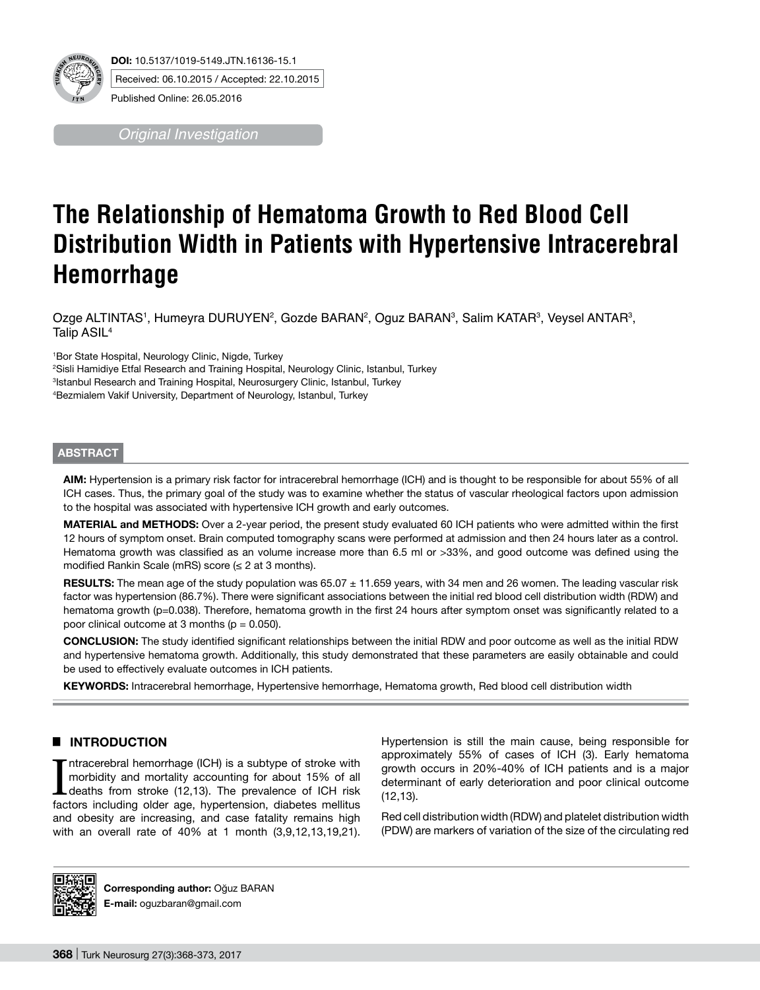

*Original Investigation*

# **The Relationship of Hematoma Growth to Red Blood Cell Distribution Width in Patients with Hypertensive Intracerebral Hemorrhage**

Ozge ALTINTAS', Humeyra DURUYEN<sup>2</sup>, Gozde BARAN<sup>2</sup>, Oguz BARAN<sup>3</sup>, Salim KATAR<sup>3</sup>, Veysel ANTAR<sup>3</sup>, Talip ASIL<sup>4</sup>

 Bor State Hospital, Neurology Clinic, Nigde, Turkey Sisli Hamidiye Etfal Research and Training Hospital, Neurology Clinic, Istanbul, Turkey Istanbul Research and Training Hospital, Neurosurgery Clinic, Istanbul, Turkey Bezmialem Vakif University, Department of Neurology, Istanbul, Turkey

### **ABSTRACT**

**AIm:** Hypertension is a primary risk factor for intracerebral hemorrhage (ICH) and is thought to be responsible for about 55% of all ICH cases. Thus, the primary goal of the study was to examine whether the status of vascular rheological factors upon admission to the hospital was associated with hypertensive ICH growth and early outcomes.

**MaterIal and Methods:** Over a 2-year period, the present study evaluated 60 ICH patients who were admitted within the first 12 hours of symptom onset. Brain computed tomography scans were performed at admission and then 24 hours later as a control. Hematoma growth was classified as an volume increase more than 6.5 ml or >33%, and good outcome was defined using the modified Rankin Scale (mRS) score ( $\leq$  2 at 3 months).

**RESULTS:** The mean age of the study population was 65.07  $\pm$  11.659 years, with 34 men and 26 women. The leading vascular risk factor was hypertension (86.7%). There were significant associations between the initial red blood cell distribution width (RDW) and hematoma growth (p=0.038). Therefore, hematoma growth in the first 24 hours after symptom onset was significantly related to a poor clinical outcome at 3 months ( $p = 0.050$ ).

**ConclusIon:** The study identified significant relationships between the initial RDW and poor outcome as well as the initial RDW and hypertensive hematoma growth. Additionally, this study demonstrated that these parameters are easily obtainable and could be used to effectively evaluate outcomes in ICH patients.

**Keywords:** Intracerebral hemorrhage, Hypertensive hemorrhage, Hematoma growth, Red blood cell distribution width

# █ **INTRODUCTION**

Intracerebral hemorrhage (ICH) is a subtype of stroke with morbidity and mortality accounting for about 15% of all deaths from stroke (12,13). The prevalence of ICH risk factors including older age, hypertension, diabetes ntracerebral hemorrhage (ICH) is a subtype of stroke with morbidity and mortality accounting for about 15% of all deaths from stroke (12,13). The prevalence of ICH risk and obesity are increasing, and case fatality remains high with an overall rate of 40% at 1 month (3,9,12,13,19,21).

Hypertension is still the main cause, being responsible for approximately 55% of cases of ICH (3). Early hematoma growth occurs in 20%-40% of ICH patients and is a major determinant of early deterioration and poor clinical outcome (12,13).

Red cell distribution width (RDW) and platelet distribution width (PDW) are markers of variation of the size of the circulating red



**Corresponding author:** Oğuz BARAN **E-mail:** oguzbaran@gmail.com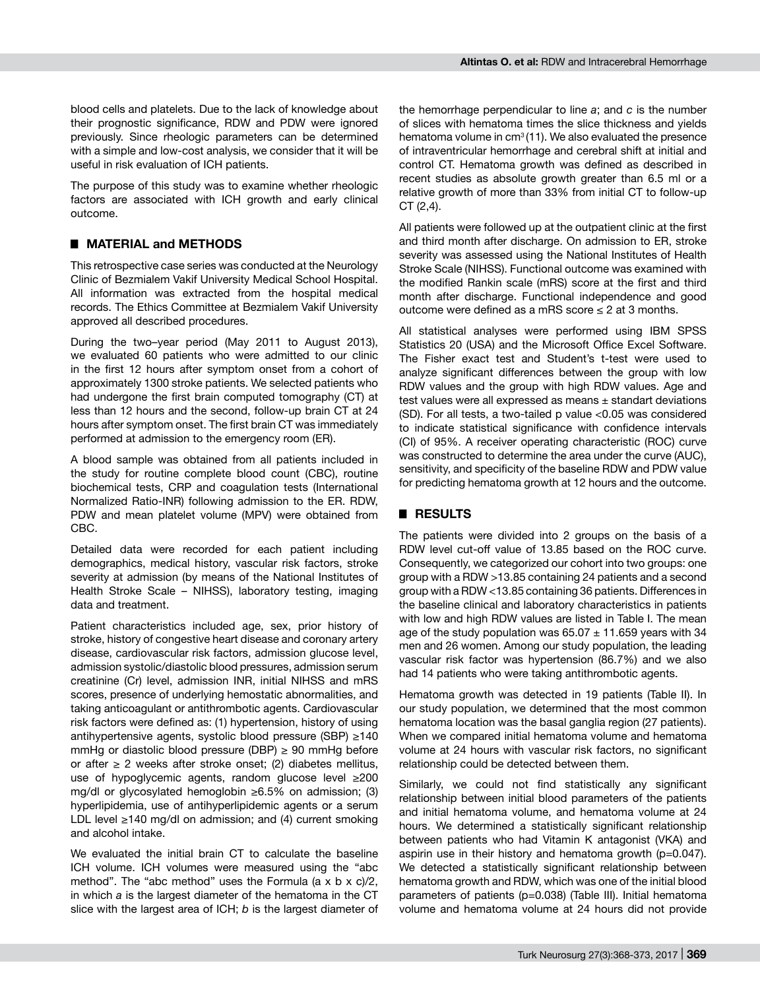blood cells and platelets. Due to the lack of knowledge about their prognostic significance, RDW and PDW were ignored previously. Since rheologic parameters can be determined with a simple and low-cost analysis, we consider that it will be useful in risk evaluation of ICH patients.

The purpose of this study was to examine whether rheologic factors are associated with ICH growth and early clinical outcome.

## █ **MATERIAL and METHODS**

This retrospective case series was conducted at the Neurology Clinic of Bezmialem Vakif University Medical School Hospital. All information was extracted from the hospital medical records. The Ethics Committee at Bezmialem Vakif University approved all described procedures.

During the two–year period (May 2011 to August 2013), we evaluated 60 patients who were admitted to our clinic in the first 12 hours after symptom onset from a cohort of approximately 1300 stroke patients. We selected patients who had undergone the first brain computed tomography (CT) at less than 12 hours and the second, follow-up brain CT at 24 hours after symptom onset. The first brain CT was immediately performed at admission to the emergency room (ER).

A blood sample was obtained from all patients included in the study for routine complete blood count (CBC), routine biochemical tests, CRP and coagulation tests (International Normalized Ratio-INR) following admission to the ER. RDW, PDW and mean platelet volume (MPV) were obtained from CBC.

Detailed data were recorded for each patient including demographics, medical history, vascular risk factors, stroke severity at admission (by means of the National Institutes of Health Stroke Scale – NIHSS), laboratory testing, imaging data and treatment.

Patient characteristics included age, sex, prior history of stroke, history of congestive heart disease and coronary artery disease, cardiovascular risk factors, admission glucose level, admission systolic/diastolic blood pressures, admission serum creatinine (Cr) level, admission INR, initial NIHSS and mRS scores, presence of underlying hemostatic abnormalities, and taking anticoagulant or antithrombotic agents. Cardiovascular risk factors were defined as: (1) hypertension, history of using antihypertensive agents, systolic blood pressure (SBP) ≥140 mmHg or diastolic blood pressure (DBP)  $\geq$  90 mmHg before or after  $\geq 2$  weeks after stroke onset; (2) diabetes mellitus, use of hypoglycemic agents, random glucose level ≥200 mg/dl or glycosylated hemoglobin ≥6.5% on admission; (3) hyperlipidemia, use of antihyperlipidemic agents or a serum LDL level ≥140 mg/dl on admission; and (4) current smoking and alcohol intake.

We evaluated the initial brain CT to calculate the baseline ICH volume. ICH volumes were measured using the "abc method". The "abc method" uses the Formula  $(a \times b \times c)/2$ , in which *a* is the largest diameter of the hematoma in the CT slice with the largest area of ICH; *b* is the largest diameter of

the hemorrhage perpendicular to line *a*; and *c* is the number of slices with hematoma times the slice thickness and yields hematoma volume in  $cm<sup>3</sup>(11)$ . We also evaluated the presence of intraventricular hemorrhage and cerebral shift at initial and control CT. Hematoma growth was defined as described in recent studies as absolute growth greater than 6.5 ml or a relative growth of more than 33% from initial CT to follow-up CT (2,4).

All patients were followed up at the outpatient clinic at the first and third month after discharge. On admission to ER, stroke severity was assessed using the National Institutes of Health Stroke Scale (NIHSS). Functional outcome was examined with the modified Rankin scale (mRS) score at the first and third month after discharge. Functional independence and good outcome were defined as a mRS score  $\leq 2$  at 3 months.

All statistical analyses were performed using IBM SPSS Statistics 20 (USA) and the Microsoft Office Excel Software. The Fisher exact test and Student's t-test were used to analyze significant differences between the group with low RDW values and the group with high RDW values. Age and test values were all expressed as means  $\pm$  standart deviations (SD). For all tests, a two-tailed p value <0.05 was considered to indicate statistical significance with confidence intervals (CI) of 95%. A receiver operating characteristic (ROC) curve was constructed to determine the area under the curve (AUC), sensitivity, and specificity of the baseline RDW and PDW value for predicting hematoma growth at 12 hours and the outcome.

## █ **RESULTS**

The patients were divided into 2 groups on the basis of a RDW level cut-off value of 13.85 based on the ROC curve. Consequently, we categorized our cohort into two groups: one group with a RDW >13.85 containing 24 patients and a second group with a RDW <13.85 containing 36 patients. Differences in the baseline clinical and laboratory characteristics in patients with low and high RDW values are listed in Table I. The mean age of the study population was  $65.07 \pm 11.659$  years with 34 men and 26 women. Among our study population, the leading vascular risk factor was hypertension (86.7%) and we also had 14 patients who were taking antithrombotic agents.

Hematoma growth was detected in 19 patients (Table II). In our study population, we determined that the most common hematoma location was the basal ganglia region (27 patients). When we compared initial hematoma volume and hematoma volume at 24 hours with vascular risk factors, no significant relationship could be detected between them.

Similarly, we could not find statistically any significant relationship between initial blood parameters of the patients and initial hematoma volume, and hematoma volume at 24 hours. We determined a statistically significant relationship between patients who had Vitamin K antagonist (VKA) and aspirin use in their history and hematoma growth (p=0.047). We detected a statistically significant relationship between hematoma growth and RDW, which was one of the initial blood parameters of patients (p=0.038) (Table III). Initial hematoma volume and hematoma volume at 24 hours did not provide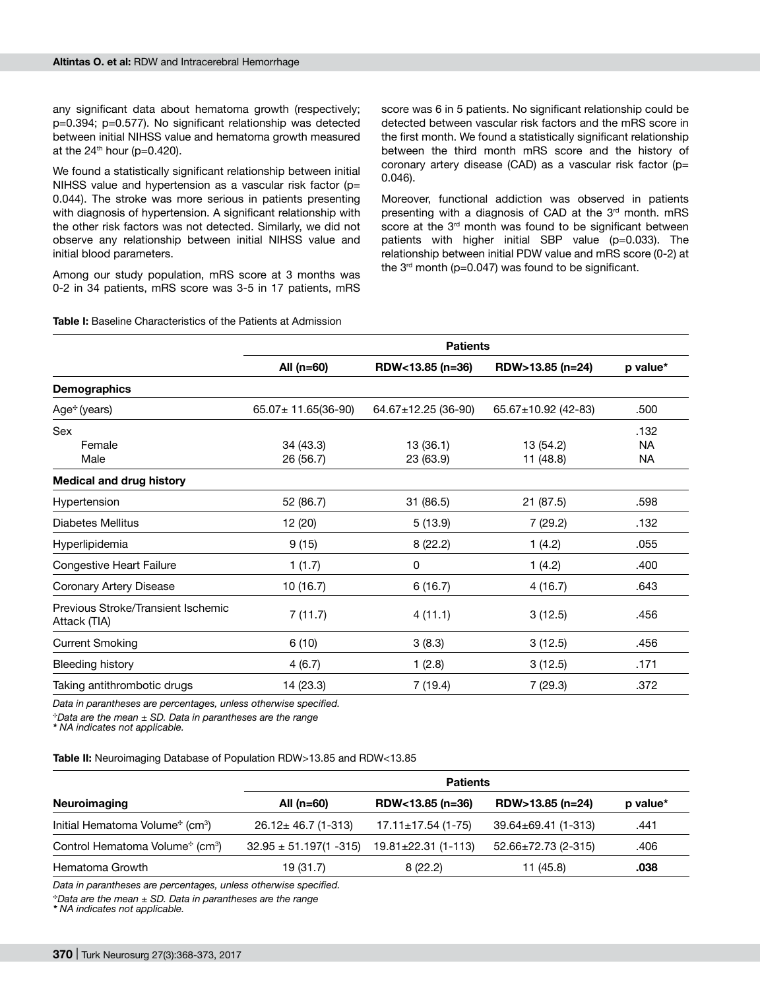any significant data about hematoma growth (respectively: p=0.394; p=0.577). No significant relationship was detected between initial NIHSS value and hematoma growth measured at the  $24<sup>th</sup>$  hour (p=0.420).

We found a statistically significant relationship between initial NIHSS value and hypertension as a vascular risk factor ( $p=$ 0.044). The stroke was more serious in patients presenting with diagnosis of hypertension. A significant relationship with the other risk factors was not detected. Similarly, we did not observe any relationship between initial NIHSS value and initial blood parameters.

Among our study population, mRS score at 3 months was 0-2 in 34 patients, mRS score was 3-5 in 17 patients, mRS

score was 6 in 5 patients. No significant relationship could be detected between vascular risk factors and the mRS score in the first month. We found a statistically significant relationship between the third month mRS score and the history of coronary artery disease (CAD) as a vascular risk factor ( $p=$ 0.046).

Moreover, functional addiction was observed in patients presenting with a diagnosis of CAD at the 3<sup>rd</sup> month. mRS score at the 3<sup>rd</sup> month was found to be significant between patients with higher initial SBP value (p=0.033). The relationship between initial PDW value and mRS score (0-2) at the  $3<sup>rd</sup>$  month (p=0.047) was found to be significant.

# **Table I:** Baseline Characteristics of the Patients at Admission

|                                                    | <b>Patients</b>          |                     |                           |          |  |
|----------------------------------------------------|--------------------------|---------------------|---------------------------|----------|--|
|                                                    | All $(n=60)$             | RDW<13.85 (n=36)    | RDW>13.85 (n=24)          | p value* |  |
| <b>Demographics</b>                                |                          |                     |                           |          |  |
| Age <sup>*</sup> (years)                           | $65.07 \pm 11.65(36-90)$ | 64.67±12.25 (36-90) | $65.67 \pm 10.92$ (42-83) | .500     |  |
| Sex                                                |                          |                     |                           | .132     |  |
| Female                                             | 34 (43.3)                | 13 (36.1)           | 13 (54.2)                 | NA.      |  |
| Male                                               | 26 (56.7)                | 23 (63.9)           | 11 (48.8)                 | NA       |  |
| <b>Medical and drug history</b>                    |                          |                     |                           |          |  |
| Hypertension                                       | 52 (86.7)                | 31(86.5)            | 21 (87.5)                 | .598     |  |
| Diabetes Mellitus                                  | 12 (20)                  | 5(13.9)             | 7 (29.2)                  | .132     |  |
| Hyperlipidemia                                     | 9(15)                    | 8(22.2)             | 1(4.2)                    | .055     |  |
| Congestive Heart Failure                           | 1(1.7)                   | 0                   | 1(4.2)                    | .400     |  |
| Coronary Artery Disease                            | 10(16.7)                 | 6(16.7)             | 4(16.7)                   | .643     |  |
| Previous Stroke/Transient Ischemic<br>Attack (TIA) | 7(11.7)                  | 4(11.1)             | 3(12.5)                   | .456     |  |
| <b>Current Smoking</b>                             | 6(10)                    | 3(8.3)              | 3(12.5)                   | .456     |  |
| Bleeding history                                   | 4(6.7)                   | 1(2.8)              | 3(12.5)                   | .171     |  |
| Taking antithrombotic drugs                        | 14 (23.3)                | 7(19.4)             | 7(29.3)                   | .372     |  |

*Data in parantheses are percentages, unless otherwise specified.*

 $\dot{p}$  Data are the mean  $\pm$  SD. Data in parantheses are the range

*\* NA indicates not applicable.*

#### **Table II:** Neuroimaging Database of Population RDW>13.85 and RDW<13.85

|                                                         | <b>Patients</b>             |                           |                           |          |  |
|---------------------------------------------------------|-----------------------------|---------------------------|---------------------------|----------|--|
| Neuroimaging                                            | All $(n=60)$                | RDW<13.85 (n=36)          | RDW>13.85 (n=24)          | p value* |  |
| Initial Hematoma Volume <sup>*</sup> (cm <sup>3</sup> ) | $26.12 \pm 46.7$ (1-313)    | $17.11 \pm 17.54$ (1-75)  | 39.64±69.41 (1-313)       | .441     |  |
| Control Hematoma Volume* (cm <sup>3</sup> )             | $32.95 \pm 51.197(1 - 315)$ | $19.81 \pm 22.31$ (1-113) | $52.66 \pm 72.73$ (2-315) | .406     |  |
| Hematoma Growth                                         | 19 (31.7)                   | 8(22.2)                   | 11 (45.8)                 | .038     |  |

*Data in parantheses are percentages, unless otherwise specified.*

<sup>C</sup>*Data are the mean ± SD. Data in parantheses are the range* 

*\* NA indicates not applicable.*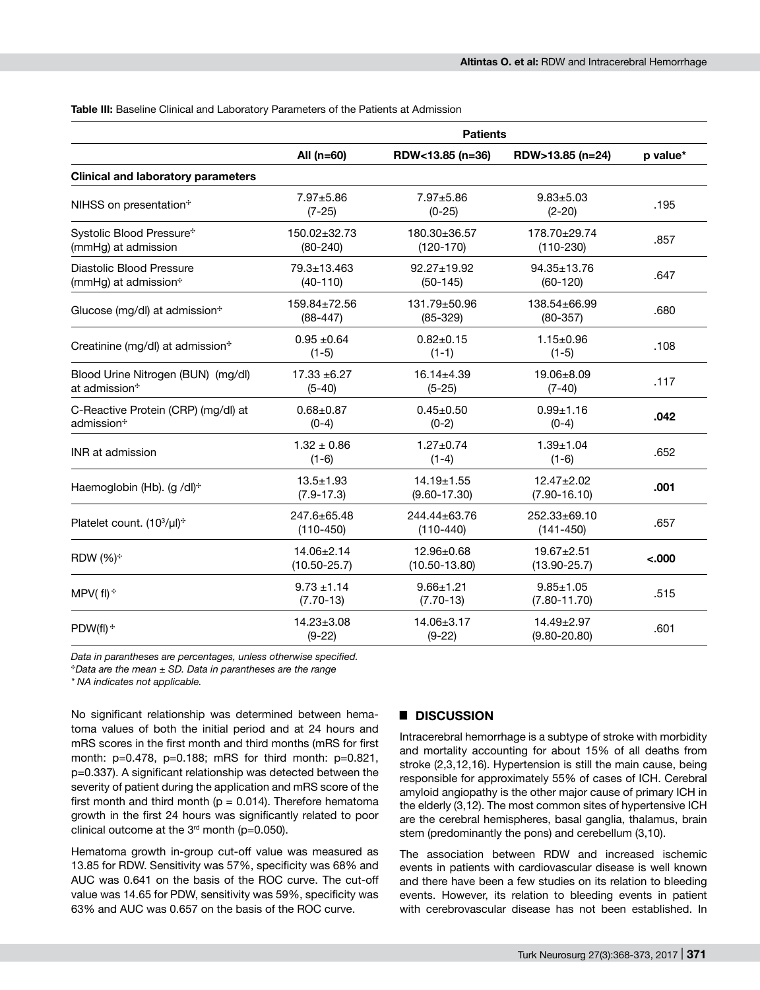#### **Table III:** Baseline Clinical and Laboratory Parameters of the Patients at Admission

|                                                     | <b>Patients</b>                 |                                      |                                      |          |  |  |
|-----------------------------------------------------|---------------------------------|--------------------------------------|--------------------------------------|----------|--|--|
|                                                     | All $(n=60)$                    | RDW<13.85 (n=36)                     | RDW>13.85 (n=24)                     | p value* |  |  |
| <b>Clinical and laboratory parameters</b>           |                                 |                                      |                                      |          |  |  |
| NIHSS on presentation*                              | $7.97 + 5.86$<br>$(7-25)$       | $7.97 + 5.86$<br>$(0-25)$            | $9.83 + 5.03$<br>$(2 - 20)$          | .195     |  |  |
| Systolic Blood Pressure*<br>(mmHg) at admission     | 150.02±32.73<br>$(80-240)$      | 180.30±36.57<br>$(120-170)$          | 178.70±29.74<br>$(110-230)$          | .857     |  |  |
| Diastolic Blood Pressure<br>(mmHg) at admission*    | 79.3±13.463<br>$(40-110)$       | $92.27 \pm 19.92$<br>$(50-145)$      | $94.35 \pm 13.76$<br>$(60-120)$      | .647     |  |  |
| Glucose (mg/dl) at admission*                       | 159.84±72.56<br>$(88-447)$      | 131.79±50.96<br>$(85-329)$           | 138.54±66.99<br>$(80-357)$           | .680     |  |  |
| Creatinine (mg/dl) at admission*                    | $0.95 \pm 0.64$<br>$(1-5)$      | $0.82 \pm 0.15$<br>$(1-1)$           | $1.15 \pm 0.96$<br>$(1-5)$           | .108     |  |  |
| Blood Urine Nitrogen (BUN) (mg/dl)<br>at admission* | $17.33 + 6.27$<br>$(5-40)$      | $16.14 \pm 4.39$<br>$(5-25)$         | $19.06 + 8.09$<br>$(7-40)$           | .117     |  |  |
| C-Reactive Protein (CRP) (mg/dl) at<br>admission*   | $0.68 + 0.87$<br>$(0-4)$        | $0.45 + 0.50$<br>$(0-2)$             | $0.99 + 1.16$<br>$(0-4)$             | .042     |  |  |
| INR at admission                                    | $1.32 \pm 0.86$<br>$(1-6)$      | $1.27 \pm 0.74$<br>$(1-4)$           | $1.39 + 1.04$<br>$(1-6)$             | .652     |  |  |
| Haemoglobin (Hb). (g /dl) <sup>+</sup>              | $13.5 + 1.93$<br>$(7.9 - 17.3)$ | $14.19 \pm 1.55$<br>$(9.60 - 17.30)$ | $12.47 \pm 2.02$<br>$(7.90 - 16.10)$ | .001     |  |  |
| Platelet count. (10 <sup>3</sup> /µl) <sup>*</sup>  | 247.6±65.48<br>$(110-450)$      | 244.44±63.76<br>$(110-440)$          | $252.33+69.10$<br>$(141 - 450)$      | .657     |  |  |
| RDW (%) <sup>*</sup>                                | 14.06±2.14<br>$(10.50 - 25.7)$  | 12.96±0.68<br>$(10.50 - 13.80)$      | $19.67 \pm 2.51$<br>$(13.90 - 25.7)$ | $-.000$  |  |  |
| $MPV(f)$ <sup>*</sup>                               | $9.73 \pm 1.14$<br>$(7.70-13)$  | $9.66 \pm 1.21$<br>$(7.70-13)$       | $9.85 \pm 1.05$<br>$(7.80 - 11.70)$  | .515     |  |  |
| PDW(fl) <sup>+</sup>                                | $14.23 \pm 3.08$<br>$(9-22)$    | 14.06±3.17<br>$(9-22)$               | $14.49 \pm 2.97$<br>$(9.80 - 20.80)$ | .601     |  |  |

*Data in parantheses are percentages, unless otherwise specified.* <sup>\*</sup>Data are the mean  $\pm$  SD. Data in parantheses are the range

*\* NA indicates not applicable.*

No significant relationship was determined between hematoma values of both the initial period and at 24 hours and mRS scores in the first month and third months (mRS for first month: p=0.478, p=0.188; mRS for third month: p=0.821, p=0.337). A significant relationship was detected between the severity of patient during the application and mRS score of the first month and third month ( $p = 0.014$ ). Therefore hematoma growth in the first 24 hours was significantly related to poor clinical outcome at the  $3<sup>rd</sup>$  month (p=0.050).

Hematoma growth in-group cut-off value was measured as 13.85 for RDW. Sensitivity was 57%, specificity was 68% and AUC was 0.641 on the basis of the ROC curve. The cut-off value was 14.65 for PDW, sensitivity was 59%, specificity was 63% and AUC was 0.657 on the basis of the ROC curve.

# █ **DISCUSSION**

Intracerebral hemorrhage is a subtype of stroke with morbidity and mortality accounting for about 15% of all deaths from stroke (2,3,12,16). Hypertension is still the main cause, being responsible for approximately 55% of cases of ICH. Cerebral amyloid angiopathy is the other major cause of primary ICH in the elderly (3,12). The most common sites of hypertensive ICH are the cerebral hemispheres, basal ganglia, thalamus, brain stem (predominantly the pons) and cerebellum (3,10).

The association between RDW and increased ischemic events in patients with cardiovascular disease is well known and there have been a few studies on its relation to bleeding events. However, its relation to bleeding events in patient with cerebrovascular disease has not been established. In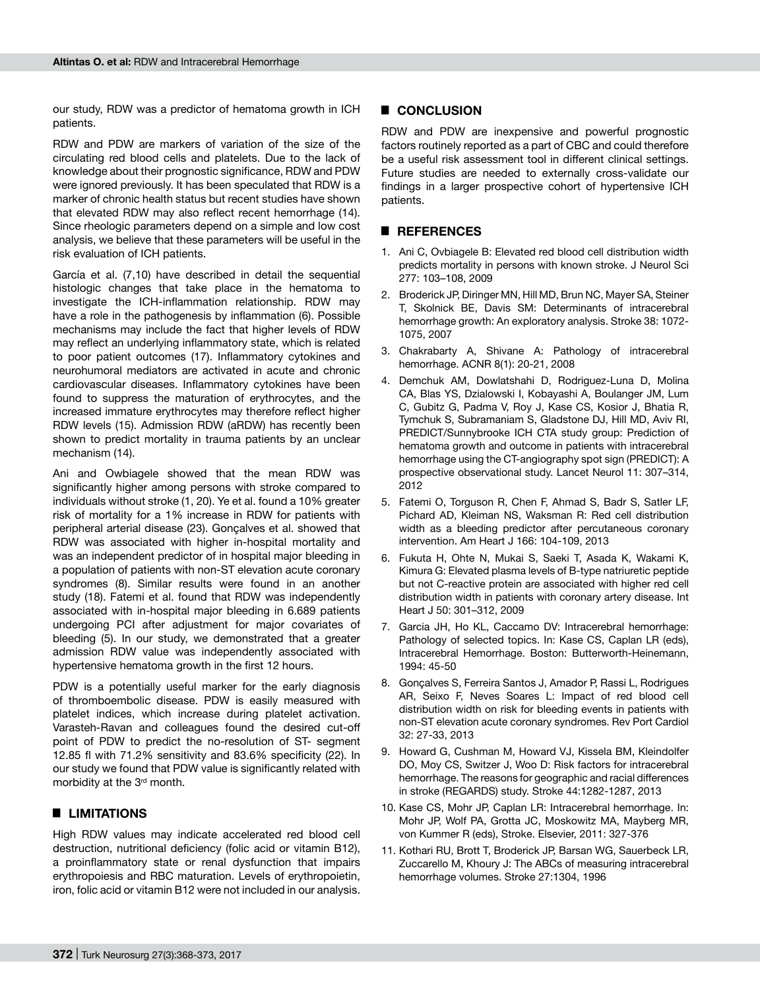our study, RDW was a predictor of hematoma growth in ICH patients.

RDW and PDW are markers of variation of the size of the circulating red blood cells and platelets. Due to the lack of knowledge about their prognostic significance, RDW and PDW were ignored previously. It has been speculated that RDW is a marker of chronic health status but recent studies have shown that elevated RDW may also reflect recent hemorrhage (14). Since rheologic parameters depend on a simple and low cost analysis, we believe that these parameters will be useful in the risk evaluation of ICH patients.

García et al. (7,10) have described in detail the sequential histologic changes that take place in the hematoma to investigate the ICH-inflammation relationship. RDW may have a role in the pathogenesis by inflammation (6). Possible mechanisms may include the fact that higher levels of RDW may reflect an underlying inflammatory state, which is related to poor patient outcomes (17). Inflammatory cytokines and neurohumoral mediators are activated in acute and chronic cardiovascular diseases. Inflammatory cytokines have been found to suppress the maturation of erythrocytes, and the increased immature erythrocytes may therefore reflect higher RDW levels (15). Admission RDW (aRDW) has recently been shown to predict mortality in trauma patients by an unclear mechanism (14).

Ani and Owbiagele showed that the mean RDW was significantly higher among persons with stroke compared to individuals without stroke (1, 20). Ye et al. found a 10% greater risk of mortality for a 1% increase in RDW for patients with peripheral arterial disease (23). Gonçalves et al. showed that RDW was associated with higher in-hospital mortality and was an independent predictor of in hospital major bleeding in a population of patients with non-ST elevation acute coronary syndromes (8). Similar results were found in an another study (18). Fatemi et al. found that RDW was independently associated with in-hospital major bleeding in 6.689 patients undergoing PCI after adjustment for major covariates of bleeding (5). In our study, we demonstrated that a greater admission RDW value was independently associated with hypertensive hematoma growth in the first 12 hours.

PDW is a potentially useful marker for the early diagnosis of thromboembolic disease. PDW is easily measured with platelet indices, which increase during platelet activation. Varasteh-Ravan and colleagues found the desired cut-off point of PDW to predict the no-resolution of ST- segment 12.85 fl with 71.2% sensitivity and 83.6% specificity (22). In our study we found that PDW value is significantly related with morbidity at the 3<sup>rd</sup> month.

# █ **LIMITATIONS**

High RDW values may indicate accelerated red blood cell destruction, nutritional deficiency (folic acid or vitamin B12), a proinflammatory state or renal dysfunction that impairs erythropoiesis and RBC maturation. Levels of erythropoietin, iron, folic acid or vitamin B12 were not included in our analysis.

## █ **CONCLUSION**

RDW and PDW are inexpensive and powerful prognostic factors routinely reported as a part of CBC and could therefore be a useful risk assessment tool in different clinical settings. Future studies are needed to externally cross-validate our findings in a larger prospective cohort of hypertensive ICH patients.

## █ **REFERENCES**

- 1. Ani C, Ovbiagele B: Elevated red blood cell distribution width predicts mortality in persons with known stroke. J Neurol Sci 277: 103–108, 2009
- 2. Broderick JP, Diringer MN, Hill MD, Brun NC, Mayer SA, Steiner T, Skolnick BE, Davis SM: Determinants of intracerebral hemorrhage growth: An exploratory analysis. Stroke 38: 1072- 1075, 2007
- 3. Chakrabarty A, Shivane A: Pathology of intracerebral hemorrhage. ACNR 8(1): 20-21, 2008
- 4. Demchuk AM, Dowlatshahi D, Rodriguez-Luna D, Molina CA, Blas YS, Dzialowski I, Kobayashi A, Boulanger JM, Lum C, Gubitz G, Padma V, Roy J, Kase CS, Kosior J, Bhatia R, Tymchuk S, Subramaniam S, Gladstone DJ, Hill MD, Aviv RI, PREDICT/Sunnybrooke ICH CTA study group: Prediction of hematoma growth and outcome in patients with intracerebral hemorrhage using the CT-angiography spot sign (PREDICT): A prospective observational study. Lancet Neurol 11: 307–314, 2012
- 5. Fatemi O, Torguson R, Chen F, Ahmad S, Badr S, Satler LF, Pichard AD, Kleiman NS, Waksman R: Red cell distribution width as a bleeding predictor after percutaneous coronary intervention. Am Heart J 166: 104-109, 2013
- 6. Fukuta H, Ohte N, Mukai S, Saeki T, Asada K, Wakami K, Kimura G: Elevated plasma levels of B-type natriuretic peptide but not C-reactive protein are associated with higher red cell distribution width in patients with coronary artery disease. Int Heart J 50: 301–312, 2009
- 7. Garcia JH, Ho KL, Caccamo DV: Intracerebral hemorrhage: Pathology of selected topics. In: Kase CS, Caplan LR (eds), Intracerebral Hemorrhage. Boston: Butterworth-Heinemann, 1994: 45-50
- 8. Gonçalves S, Ferreira Santos J, Amador P, Rassi L, Rodrigues AR, Seixo F, Neves Soares L: Impact of red blood cell distribution width on risk for bleeding events in patients with non-ST elevation acute coronary syndromes. Rev Port Cardiol 32: 27-33, 2013
- 9. Howard G, Cushman M, Howard VJ, Kissela BM, Kleindolfer DO, Moy CS, Switzer J, Woo D: Risk factors for intracerebral hemorrhage. The reasons for geographic and racial differences in stroke (REGARDS) study. Stroke 44:1282-1287, 2013
- 10. Kase CS, Mohr JP, Caplan LR: Intracerebral hemorrhage. In: Mohr JP, Wolf PA, Grotta JC, Moskowitz MA, Mayberg MR, von Kummer R (eds), Stroke. Elsevier, 2011: 327-376
- 11. Kothari RU, Brott T, Broderick JP, Barsan WG, Sauerbeck LR, Zuccarello M, Khoury J: The ABCs of measuring intracerebral hemorrhage volumes. Stroke 27:1304, 1996